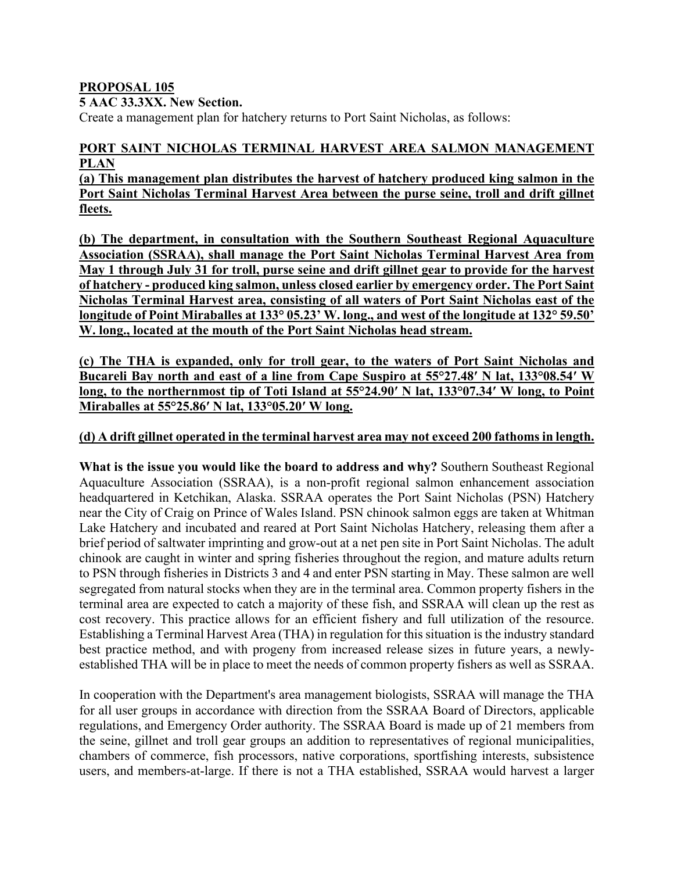## **PROPOSAL 105**

## **5 AAC 33.3XX. New Section.**

Create a management plan for hatchery returns to Port Saint Nicholas, as follows:

## **PORT SAINT NICHOLAS TERMINAL HARVEST AREA SALMON MANAGEMENT PLAN**

**(a) This management plan distributes the harvest of hatchery produced king salmon in the Port Saint Nicholas Terminal Harvest Area between the purse seine, troll and drift gillnet fleets.**

**(b) The department, in consultation with the Southern Southeast Regional Aquaculture Association (SSRAA), shall manage the Port Saint Nicholas Terminal Harvest Area from May 1 through July 31 for troll, purse seine and drift gillnet gear to provide for the harvest of hatchery - produced king salmon, unless closed earlier by emergency order. The Port Saint Nicholas Terminal Harvest area, consisting of all waters of Port Saint Nicholas east of the longitude of Point Miraballes at 133° 05.23' W. long., and west of the longitude at 132° 59.50' W. long., located at the mouth of the Port Saint Nicholas head stream.** 

**(c) The THA is expanded, only for troll gear, to the waters of Port Saint Nicholas and Bucareli Bay north and east of a line from Cape Suspiro at 55°27.48′ N lat, 133°08.54′ W long, to the northernmost tip of Toti Island at 55°24.90′ N lat, 133°07.34′ W long, to Point Miraballes at 55°25.86′ N lat, 133°05.20′ W long.**

## **(d) A drift gillnet operated in the terminal harvest area may not exceed 200 fathoms in length.**

**What is the issue you would like the board to address and why?** Southern Southeast Regional Aquaculture Association (SSRAA), is a non-profit regional salmon enhancement association headquartered in Ketchikan, Alaska. SSRAA operates the Port Saint Nicholas (PSN) Hatchery near the City of Craig on Prince of Wales Island. PSN chinook salmon eggs are taken at Whitman Lake Hatchery and incubated and reared at Port Saint Nicholas Hatchery, releasing them after a brief period of saltwater imprinting and grow-out at a net pen site in Port Saint Nicholas. The adult chinook are caught in winter and spring fisheries throughout the region, and mature adults return to PSN through fisheries in Districts 3 and 4 and enter PSN starting in May. These salmon are well segregated from natural stocks when they are in the terminal area. Common property fishers in the terminal area are expected to catch a majority of these fish, and SSRAA will clean up the rest as cost recovery. This practice allows for an efficient fishery and full utilization of the resource. Establishing a Terminal Harvest Area (THA) in regulation for this situation is the industry standard best practice method, and with progeny from increased release sizes in future years, a newlyestablished THA will be in place to meet the needs of common property fishers as well as SSRAA.

In cooperation with the Department's area management biologists, SSRAA will manage the THA for all user groups in accordance with direction from the SSRAA Board of Directors, applicable regulations, and Emergency Order authority. The SSRAA Board is made up of 21 members from the seine, gillnet and troll gear groups an addition to representatives of regional municipalities, chambers of commerce, fish processors, native corporations, sportfishing interests, subsistence users, and members-at-large. If there is not a THA established, SSRAA would harvest a larger